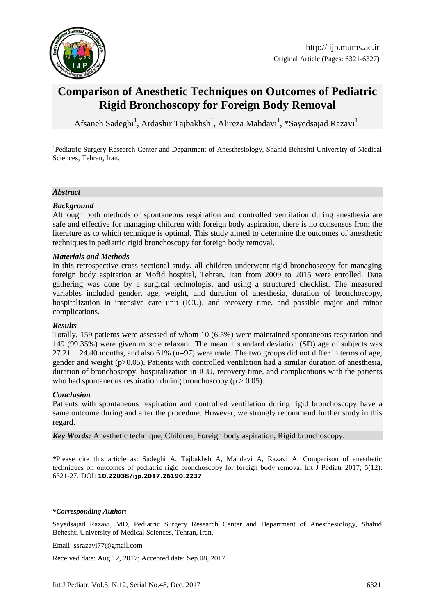

# **Comparison of Anesthetic Techniques on Outcomes of [Pediatric](https://www.google.com/url?sa=t&rct=j&q=&esrc=s&source=web&cd=10&cad=rja&uact=8&ved=0ahUKEwiP7u31g8_WAhVJLFAKHceBBs0QFghgMAk&url=http%3A%2F%2Fwww.sciencedirect.com%2Fscience%2Farticle%2Fpii%2FS0031393915001948&usg=AOvVaw3qmtDaWcoSrXqV78wrRBoL)  Rigid Bronchoscopy for [Foreign Body Removal](http://onlinelibrary.wiley.com/doi/10.1046/j.1460-9592.2003.01194.x/full)**

Afsaneh Sadeghi<sup>1</sup>, Ardashir Tajbakhsh<sup>1</sup>, Alireza Mahdavi<sup>1</sup>, \*Sayedsajad Razavi<sup>1</sup>

<sup>1</sup>Pediatric Surgery Research Center and Department of Anesthesiology, Shahid Beheshti University of Medical Sciences, Tehran, Iran.

#### *Abstract*

#### *Background*

Although both methods of spontaneous respiration and controlled ventilation during anesthesia are safe and effective for managing children with foreign body aspiration, there is no consensus from the literature as to which technique is optimal. This study aimed to determine the outcomes of anesthetic techniques in [pediatric r](https://www.google.com/url?sa=t&rct=j&q=&esrc=s&source=web&cd=10&cad=rja&uact=8&ved=0ahUKEwiP7u31g8_WAhVJLFAKHceBBs0QFghgMAk&url=http%3A%2F%2Fwww.sciencedirect.com%2Fscience%2Farticle%2Fpii%2FS0031393915001948&usg=AOvVaw3qmtDaWcoSrXqV78wrRBoL)igid bronchoscopy for foreign body remova[l.](http://onlinelibrary.wiley.com/doi/10.1046/j.1460-9592.2003.01194.x/full)

#### *Materials and Methods*

In this retrospective cross sectional study, all children underwent rigid bronchoscopy for managing foreign body aspiration at Mofid hospital, Tehran, Iran from 2009 to 2015 were enrolled. Data gathering was done by a surgical technologist and using a structured checklist. The measured variables included gender, age, weight, and duration of anesthesia, duration of bronchoscopy, hospitalization in intensive care unit (ICU), and recovery time, and possible major and minor complications.

#### *Results*

Totally, 159 patients were assessed of whom 10 (6.5%) were maintained spontaneous respiration and 149 (99.35%) were given muscle relaxant. The mean ± standard deviation (SD) age of subjects was  $27.21 \pm 24.40$  months, and also 61% (n=97) were male. The two groups did not differ in terms of age, gender and weight (p>0.05). Patients with controlled ventilation had a similar duration of anesthesia, duration of bronchoscopy, hospitalization in ICU, recovery time, and complications with the patients who had spontaneous respiration during bronchoscopy ( $p > 0.05$ ).

#### *Conclusion*

Patients with spontaneous respiration and controlled ventilation during rigid bronchoscopy have a same outcome during and after the procedure. However, we strongly recommend further study in this regard.

*Key Words:* Anesthetic technique, Children, Foreign body aspiration, Rigid bronchoscopy.

\*Please cite this article as: Sadeghi A, Tajbakhsh A, Mahdavi A, Razavi A. Comparison of anesthetic techniques on outcomes of [pediatric r](https://www.google.com/url?sa=t&rct=j&q=&esrc=s&source=web&cd=10&cad=rja&uact=8&ved=0ahUKEwiP7u31g8_WAhVJLFAKHceBBs0QFghgMAk&url=http%3A%2F%2Fwww.sciencedirect.com%2Fscience%2Farticle%2Fpii%2FS0031393915001948&usg=AOvVaw3qmtDaWcoSrXqV78wrRBoL)igid bronchoscopy for [foreign body removal I](http://onlinelibrary.wiley.com/doi/10.1046/j.1460-9592.2003.01194.x/full)nt J Pediatr 2017; 5(12): 6321-27. DOI: **10.22038/ijp.2017.26190.2237**

*\*Corresponding Author:*

<u>.</u>

Received date: Aug.12, 2017; Accepted date: Sep.08, 2017

Sayedsajad Razavi, MD, Pediatric Surgery Research Center and Department of Anesthesiology, Shahid Beheshti University of Medical Sciences, Tehran, Iran.

Email: ssrazavi77@gmail.com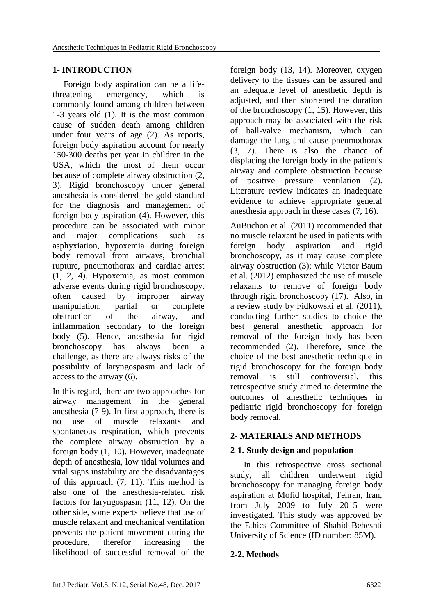# **1- INTRODUCTION**

 Foreign body aspiration can be a lifethreatening emergency, which is commonly found among children between 1-3 years old [\(1\)](#page-5-0). It is the most common cause of sudden death among children under four years of age [\(2\)](#page-5-1). As reports, foreign body aspiration account for nearly 150-300 deaths per year in children in the USA, which the most of them occur because of complete airway obstruction [\(2,](#page-5-1) [3\)](#page-5-2). Rigid bronchoscopy under general anesthesia is considered the gold standard for the diagnosis and management of foreign body aspiration [\(4\)](#page-5-3). However, this procedure can be associated with minor and major complications such as asphyxiation, hypoxemia during foreign body removal from airways, bronchial rupture, pneumothorax and cardiac arrest [\(1,](#page-5-0) [2,](#page-5-1) [4\)](#page-5-3). Hypoxemia, as most common adverse events during rigid bronchoscopy, often caused by improper airway manipulation, partial or complete obstruction of the airway, and inflammation secondary to the foreign body [\(5\)](#page-5-4). Hence, anesthesia for rigid bronchoscopy has always been a challenge, as there are always risks of the possibility of laryngospasm and lack of access to the airway [\(6\)](#page-5-5).

In this regard, there are two approaches for airway management in the general anesthesia [\(7-9\)](#page-5-6). In first approach, there is no use of muscle relaxants and spontaneous respiration, which prevents the complete airway obstruction by a foreign body [\(1,](#page-5-0) [10\)](#page-5-7). However, inadequate depth of anesthesia, low tidal volumes and vital signs instability are the disadvantages of this approach [\(7,](#page-5-6) [11\)](#page-5-8). This method is also one of the anesthesia-related risk factors for laryngospasm [\(11,](#page-5-8) [12\)](#page-6-0). On the other side, some experts believe that use of muscle relaxant and mechanical ventilation prevents the patient movement during the procedure, therefor increasing the likelihood of successful removal of the foreign body [\(13,](#page-6-1) [14\)](#page-6-2). Moreover, oxygen delivery to the tissues can be assured and an adequate level of anesthetic depth is adjusted, and then shortened the duration of the bronchoscopy [\(1,](#page-5-0) [15\)](#page-6-3). However, this approach may be associated with the risk of ball-valve mechanism, which can damage the lung and cause pneumothorax [\(3,](#page-5-2) [7\)](#page-5-6). There is also the chance of displacing the foreign body in the patient's airway and complete obstruction because of positive pressure ventilation [\(2\)](#page-5-1). Literature review indicates an inadequate evidence to achieve appropriate general anesthesia approach in these cases [\(7,](#page-5-6) [16\)](#page-6-4).

AuBuchon et al. (2011) recommended that no muscle relaxant be used in patients with foreign body aspiration and rigid bronchoscopy, as it may cause complete airway obstruction [\(3\)](#page-5-2); while Victor Baum et al. (2012) emphasized the use of muscle relaxants to remove of foreign body through rigid bronchoscopy [\(17\)](#page-6-5). Also, in a review study by Fidkowski et al. (2011), conducting further studies to choice the best general anesthetic approach for removal of the foreign body has been recommended [\(2\)](#page-5-1). Therefore, since the choice of the best anesthetic technique in rigid bronchoscopy for the foreign body removal is still controversial, this retrospective study aimed to determine the outcomes of anesthetic techniques in [pediatric r](https://www.google.com/url?sa=t&rct=j&q=&esrc=s&source=web&cd=10&cad=rja&uact=8&ved=0ahUKEwiP7u31g8_WAhVJLFAKHceBBs0QFghgMAk&url=http%3A%2F%2Fwww.sciencedirect.com%2Fscience%2Farticle%2Fpii%2FS0031393915001948&usg=AOvVaw3qmtDaWcoSrXqV78wrRBoL)igid bronchoscopy for foreign body remova[l.](http://onlinelibrary.wiley.com/doi/10.1046/j.1460-9592.2003.01194.x/full)

# **2- MATERIALS AND METHODS**

# **2-1. Study design and population**

 In this retrospective cross sectional study, all children underwent rigid bronchoscopy for managing foreign body aspiration at Mofid hospital, Tehran, Iran, from July 2009 to July 2015 were investigated. This study was approved by the Ethics Committee of Shahid Beheshti University of Science (ID number: 85M).

# **2-2. Methods**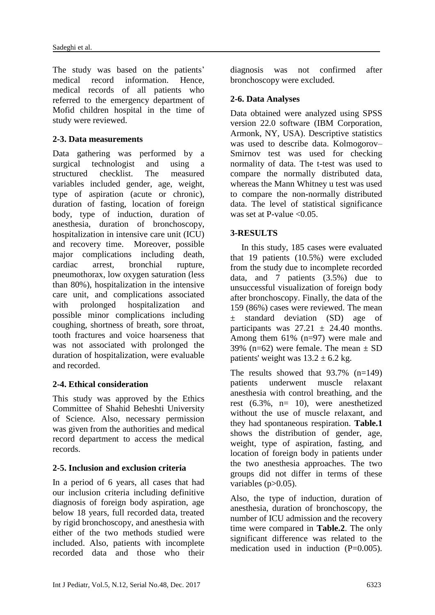The study was based on the patients' medical record information. Hence, medical records of all patients who referred to the emergency department of Mofid children hospital in the time of study were reviewed.

### **2-3. Data measurements**

Data gathering was performed by a surgical technologist and using a structured checklist. The measured variables included gender, age, weight, type of aspiration (acute or chronic), duration of fasting, location of foreign body, type of induction, duration of anesthesia, duration of bronchoscopy, hospitalization in intensive care unit (ICU) and recovery time. Moreover, possible major complications including death, cardiac arrest, bronchial rupture, pneumothorax, low oxygen saturation (less than 80%), hospitalization in the intensive care unit, and complications associated with prolonged hospitalization and possible minor complications including coughing, shortness of breath, sore throat, tooth fractures and voice hoarseness that was not associated with prolonged the duration of hospitalization, were evaluable and recorded.

# **2-4. Ethical consideration**

This study was approved by the Ethics Committee of Shahid Beheshti University of Science. Also, necessary permission was given from the authorities and medical record department to access the medical records.

#### **2-5. Inclusion and exclusion criteria**

In a period of 6 years, all cases that had our inclusion criteria including definitive diagnosis of foreign body aspiration, age below 18 years, full recorded data, treated by rigid bronchoscopy, and anesthesia with either of the two methods studied were included. Also, patients with incomplete recorded data and those who their

diagnosis was not confirmed after bronchoscopy were excluded.

#### **2-6. Data Analyses**

Data obtained were analyzed using SPSS version 22.0 software (IBM Corporation, Armonk, NY, USA). Descriptive statistics was used to describe data. Kolmogorov– Smirnov test was used for checking normality of data. The t-test was used to compare the normally distributed data, whereas the Mann Whitney u test was used to compare the non-normally distributed data. The level of statistical significance was set at P-value  $\leq 0.05$ .

# **3-RESULTS**

 In this study, 185 cases were evaluated that 19 patients (10.5%) were excluded from the study due to incomplete recorded data, and 7 patients  $(3.5%)$  due to unsuccessful visualization of foreign body after bronchoscopy. Finally, the data of the 159 (86%) cases were reviewed. The mean ± standard deviation (SD) age of participants was  $27.21 \pm 24.40$  months. Among them 61% (n=97) were male and 39% (n=62) were female. The mean  $\pm$  SD patients' weight was  $13.2 \pm 6.2$  kg.

The results showed that  $93.7\%$  (n=149) patients underwent muscle relaxant anesthesia with control breathing, and the rest  $(6.3\% , n= 10)$ , were anesthetized without the use of muscle relaxant, and they had spontaneous respiration. **Table.1** shows the distribution of gender, age, weight, type of aspiration, fasting, and location of foreign body in patients under the two anesthesia approaches. The two groups did not differ in terms of these variables  $(p>0.05)$ .

Also, the type of induction, duration of anesthesia, duration of bronchoscopy, the number of ICU admission and the recovery time were compared in **Table.2**. The only significant difference was related to the medication used in induction  $(P=0.005)$ .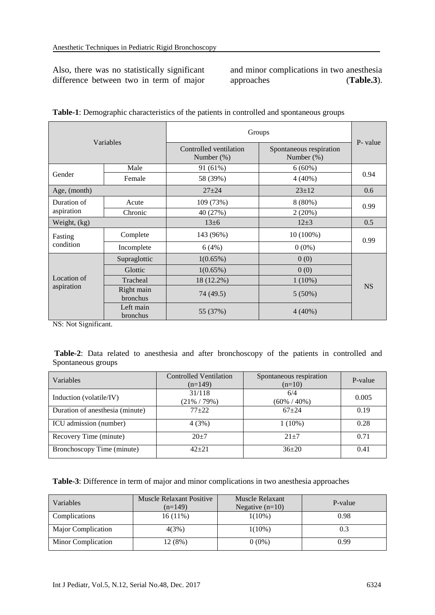Also, there was no statistically significant difference between two in term of major and minor complications in two anesthesia approaches (**Table.3**).

| Variables                 |                        | Groups                                  |                                       |           |  |
|---------------------------|------------------------|-----------------------------------------|---------------------------------------|-----------|--|
|                           |                        | Controlled ventilation<br>Number $(\%)$ | Spontaneous respiration<br>Number (%) | P- value  |  |
| Gender                    | Male                   | 91 (61%)                                | $6(60\%)$                             | 0.94      |  |
|                           | Female                 | 58 (39%)                                | $4(40\%)$                             |           |  |
| Age, (month)              |                        | $27 + 24$                               | $23+12$                               | 0.6       |  |
| Duration of<br>aspiration | Acute                  | 109 (73%)                               | $8(80\%)$                             | 0.99      |  |
|                           | Chronic                | 40 (27%)                                | 2(20%)                                |           |  |
| Weight, (kg)              |                        | $13 \pm 6$                              | $12+3$                                | 0.5       |  |
| Fasting<br>condition      | Complete               | 143 (96%)                               | $10(100\%)$                           | 0.99      |  |
|                           | Incomplete             | 6(4%)                                   | $0(0\%)$                              |           |  |
| Location of<br>aspiration | Supraglottic           | $1(0.65\%)$                             | 0(0)                                  |           |  |
|                           | Glottic                | $1(0.65\%)$                             | 0(0)                                  |           |  |
|                           | Tracheal               | 18 (12.2%)                              | $1(10\%)$                             |           |  |
|                           | Right main<br>bronchus | 74 (49.5)                               | $5(50\%)$                             | <b>NS</b> |  |
|                           | Left main<br>bronchus  | 55 (37%)                                | $4(40\%)$                             |           |  |

| Table-1: Demographic characteristics of the patients in controlled and spontaneous groups |  |  |  |
|-------------------------------------------------------------------------------------------|--|--|--|
|                                                                                           |  |  |  |

NS: Not Significant.

**Table-2**: Data related to anesthesia and after bronchoscopy of the patients in controlled and Spontaneous groups

| Variables                       | <b>Controlled Ventilation</b><br>$(n=149)$ | Spontaneous respiration<br>$(n=10)$ | P-value |
|---------------------------------|--------------------------------------------|-------------------------------------|---------|
| Induction (volatile/IV)         | 31/118<br>$(21\% / 79\%)$                  | 6/4<br>$(60\% / 40\%)$              | 0.005   |
| Duration of anesthesia (minute) | $77+22$                                    | $67 + 24$                           | 0.19    |
| ICU admission (number)          | 4(3%)                                      | $1(10\%)$                           | 0.28    |
| Recovery Time (minute)          | $20+7$                                     | $21 + 7$                            | 0.71    |
| Bronchoscopy Time (minute)      | $42 + 21$                                  | $36+20$                             | 0.41    |

**Table-3**: Difference in term of major and minor complications in two anesthesia approaches

| Variables          | Muscle Relaxant Positive<br>$(n=149)$ | Muscle Relaxant<br>Negative $(n=10)$ | P-value |
|--------------------|---------------------------------------|--------------------------------------|---------|
| Complications      | $16(11\%)$                            | $1(10\%)$                            | 0.98    |
| Major Complication | 4(3%)                                 | $1(10\%)$                            | 0.3     |
| Minor Complication | 12 (8%)                               | $0(0\%)$                             | 0.99    |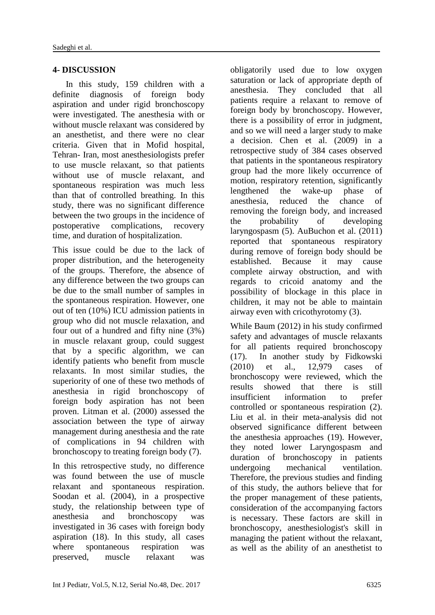### **4- DISCUSSION**

 In this study, 159 children with a definite diagnosis of foreign body aspiration and under rigid bronchoscopy were investigated. The anesthesia with or without muscle relaxant was considered by an anesthetist, and there were no clear criteria. Given that in Mofid hospital, Tehran- Iran, most anesthesiologists prefer to use muscle relaxant, so that patients without use of muscle relaxant, and spontaneous respiration was much less than that of controlled breathing. In this study, there was no significant difference between the two groups in the incidence of postoperative complications, recovery time, and duration of hospitalization.

This issue could be due to the lack of proper distribution, and the heterogeneity of the groups. Therefore, the absence of any difference between the two groups can be due to the small number of samples in the spontaneous respiration. However, one out of ten (10%) ICU admission patients in group who did not muscle relaxation, and four out of a hundred and fifty nine (3%) in muscle relaxant group, could suggest that by a specific algorithm, we can identify patients who benefit from muscle relaxants. In most similar studies, the superiority of one of these two methods of anesthesia in rigid bronchoscopy of foreign body aspiration has not been proven. Litman et al. (2000) assessed the association between the type of airway management during anesthesia and the rate of complications in 94 children with bronchoscopy to treating foreign body [\(7\)](#page-5-6).

In this retrospective study, no difference was found between the use of muscle relaxant and spontaneous respiration. Soodan et al. (2004), in a prospective study, the relationship between type of anesthesia and bronchoscopy was investigated in 36 cases with foreign body aspiration [\(18\)](#page-6-6). In this study, all cases where spontaneous respiration was preserved, muscle relaxant was

obligatorily used due to low oxygen saturation or lack of appropriate depth of anesthesia. They concluded that all patients require a relaxant to remove of foreign body by bronchoscopy. However, there is a possibility of error in judgment, and so we will need a larger study to make a decision. Chen et al. (2009) in a retrospective study of 384 cases observed that patients in the spontaneous respiratory group had the more likely occurrence of motion, respiratory retention, significantly lengthened the wake-up phase of anesthesia, reduced the chance of removing the foreign body, and increased the probability of developing laryngospasm [\(5\)](#page-5-4). AuBuchon et al. (2011) reported that spontaneous respiratory during remove of foreign body should be established. Because it may cause complete airway obstruction, and with regards to cricoid anatomy and the possibility of blockage in this place in children, it may not be able to maintain airway even with cricothyrotomy [\(3\)](#page-5-2).

While Baum (2012) in his study confirmed safety and advantages of muscle relaxants for all patients required bronchoscopy [\(17\)](#page-6-5). In another study by Fidkowski (2010) et al., 12,979 cases of bronchoscopy were reviewed, which the results showed that there is still insufficient information to prefer controlled or spontaneous respiration [\(2\)](#page-5-1). Liu et al. in their meta-analysis did not observed significance different between the anesthesia approaches [\(19\)](#page-6-7). However, they noted lower Laryngospasm and duration of bronchoscopy in patients undergoing mechanical ventilation. Therefore, the previous studies and finding of this study, the authors believe that for the proper management of these patients, consideration of the accompanying factors is necessary. These factors are skill in bronchoscopy, anesthesiologist's skill in managing the patient without the relaxant, as well as the ability of an anesthetist to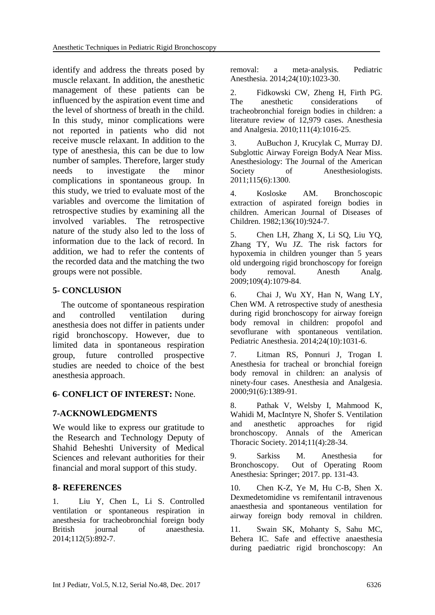identify and address the threats posed by muscle relaxant. In addition, the anesthetic management of these patients can be influenced by the aspiration event time and the level of shortness of breath in the child. In this study, minor complications were not reported in patients who did not receive muscle relaxant. In addition to the type of anesthesia, this can be due to low number of samples. Therefore, larger study needs to investigate the minor complications in spontaneous group. In this study, we tried to evaluate most of the variables and overcome the limitation of retrospective studies by examining all the involved variables. The retrospective nature of the study also led to the loss of information due to the lack of record. In addition, we had to refer the contents of the recorded data and the matching the two groups were not possible.

### **5- CONCLUSION**

 The outcome of spontaneous respiration and controlled ventilation during anesthesia does not differ in patients under rigid bronchoscopy. However, due to limited data in spontaneous respiration group, future controlled prospective studies are needed to choice of the best anesthesia approach.

#### **6- CONFLICT OF INTEREST:** None.

# **7-ACKNOWLEDGMENTS**

We would like to express our gratitude to the Research and Technology Deputy of Shahid Beheshti University of Medical Sciences and relevant authorities for their financial and moral support of this study.

#### **8- REFERENCES**

<span id="page-5-0"></span>1. Liu Y, Chen L, Li S. Controlled ventilation or spontaneous respiration in anesthesia for tracheobronchial foreign body British journal of anaesthesia. 2014;112(5):892-7.

removal: a meta‐analysis. Pediatric Anesthesia. 2014;24(10):1023-30.

<span id="page-5-1"></span>2. Fidkowski CW, Zheng H, Firth PG. The anesthetic considerations of tracheobronchial foreign bodies in children: a literature review of 12,979 cases. Anesthesia and Analgesia. 2010;111(4):1016-25.

<span id="page-5-2"></span>3. AuBuchon J, Krucylak C, Murray DJ. Subglottic Airway Foreign BodyA Near Miss. Anesthesiology: The Journal of the American Society of Anesthesiologists. 2011;115(6):1300.

<span id="page-5-3"></span>4. Kosloske AM. Bronchoscopic extraction of aspirated foreign bodies in children. American Journal of Diseases of Children. 1982;136(10):924-7.

<span id="page-5-4"></span>5. Chen LH, Zhang X, Li SQ, Liu YQ, Zhang TY, Wu JZ. The risk factors for hypoxemia in children younger than 5 years old undergoing rigid bronchoscopy for foreign body removal. Anesth Analg. 2009;109(4):1079-84.

<span id="page-5-5"></span>6. Chai J, Wu XY, Han N, Wang LY, Chen WM. A retrospective study of anesthesia during rigid bronchoscopy for airway foreign body removal in children: propofol and sevoflurane with spontaneous ventilation. Pediatric Anesthesia. 2014;24(10):1031-6.

<span id="page-5-6"></span>7. Litman RS, Ponnuri J, Trogan I. Anesthesia for tracheal or bronchial foreign body removal in children: an analysis of ninety-four cases. Anesthesia and Analgesia. 2000;91(6):1389-91.

8. Pathak V, Welsby I, Mahmood K, Wahidi M, MacIntyre N, Shofer S. Ventilation and anesthetic approaches for rigid bronchoscopy. Annals of the American Thoracic Society. 2014;11(4):28-34.

9. Sarkiss M. Anesthesia for Bronchoscopy. Out of Operating Room Anesthesia: Springer; 2017. pp. 131-43.

<span id="page-5-7"></span>10. Chen K-Z, Ye M, Hu C-B, Shen X. Dexmedetomidine vs remifentanil intravenous anaesthesia and spontaneous ventilation for airway foreign body removal in children.

<span id="page-5-8"></span>11. Swain SK, Mohanty S, Sahu MC, Behera IC. Safe and effective anaesthesia during paediatric rigid bronchoscopy: An